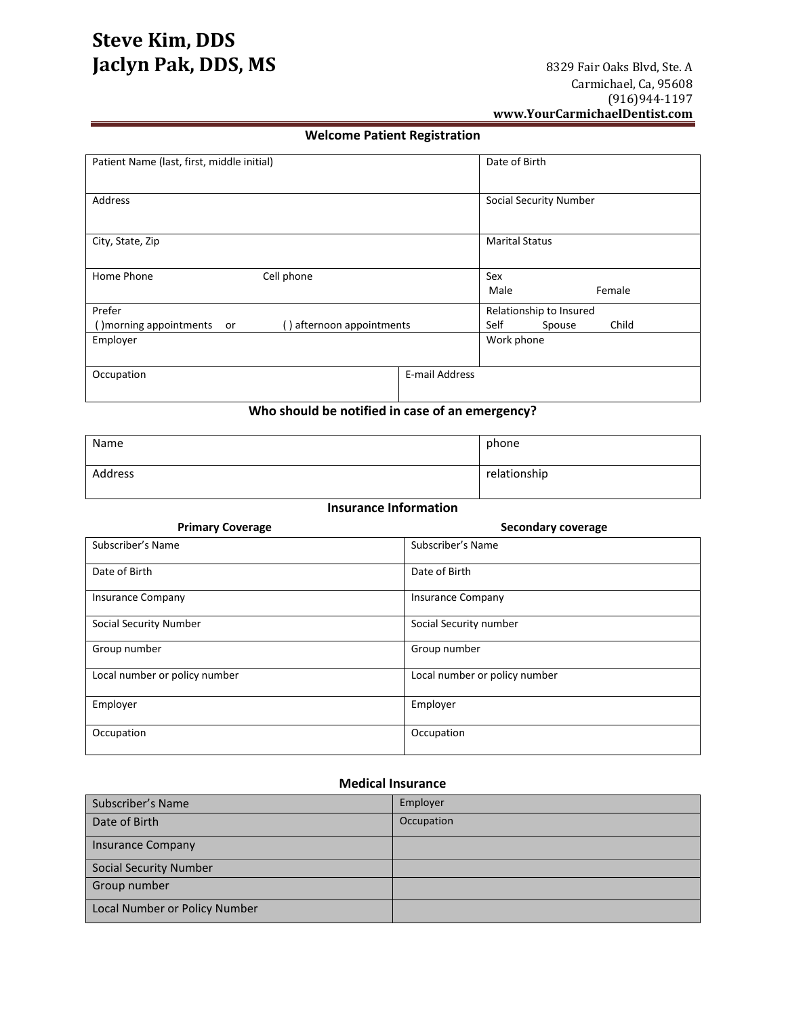# **Welcome Patient Registration**

| Patient Name (last, first, middle initial)                 | Date of Birth                 |
|------------------------------------------------------------|-------------------------------|
| Address                                                    | <b>Social Security Number</b> |
| City, State, Zip                                           | <b>Marital Status</b>         |
| Cell phone<br>Home Phone                                   | Sex<br>Female<br>Male         |
| Prefer                                                     | Relationship to Insured       |
| () afternoon appointments<br>() morning appointments<br>or | Self<br>Child<br>Spouse       |
| Employer                                                   | Work phone                    |
| Occupation                                                 | E-mail Address                |

**Who should be notified in case of an emergency?**

| Name    | phone        |
|---------|--------------|
| Address | relationship |

## **Insurance Information**

| <b>Primary Coverage</b>       | <b>Secondary coverage</b>     |
|-------------------------------|-------------------------------|
| Subscriber's Name             | Subscriber's Name             |
| Date of Birth                 | Date of Birth                 |
| <b>Insurance Company</b>      | <b>Insurance Company</b>      |
| <b>Social Security Number</b> | Social Security number        |
| Group number                  | Group number                  |
| Local number or policy number | Local number or policy number |
| Employer                      | Employer                      |
| Occupation                    | Occupation                    |

### **Medical Insurance**

| Subscriber's Name             | Employer   |
|-------------------------------|------------|
| Date of Birth                 | Occupation |
| <b>Insurance Company</b>      |            |
| <b>Social Security Number</b> |            |
| Group number                  |            |
| Local Number or Policy Number |            |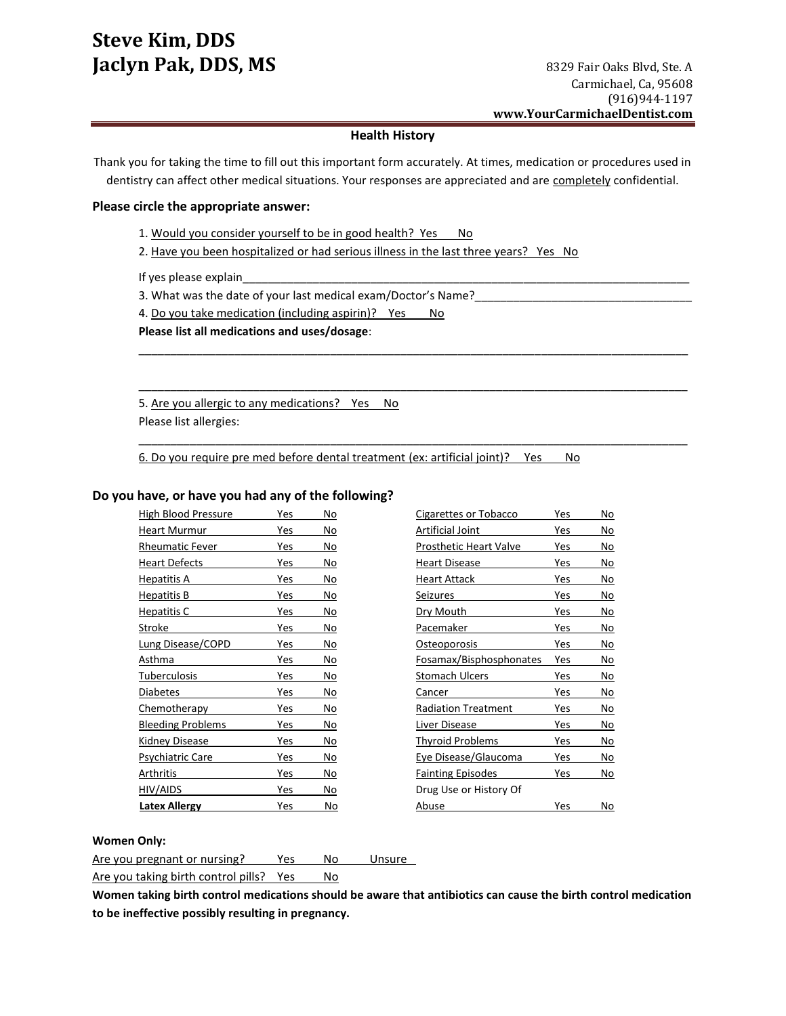### **Health History**

Thank you for taking the time to fill out this important form accurately. At times, medication or procedures used in dentistry can affect other medical situations. Your responses are appreciated and are completely confidential.

\_\_\_\_\_\_\_\_\_\_\_\_\_\_\_\_\_\_\_\_\_\_\_\_\_\_\_\_\_\_\_\_\_\_\_\_\_\_\_\_\_\_\_\_\_\_\_\_\_\_\_\_\_\_\_\_\_\_\_\_\_\_\_\_\_\_\_\_\_\_\_\_\_\_\_\_\_\_\_\_\_\_\_\_\_\_

\_\_\_\_\_\_\_\_\_\_\_\_\_\_\_\_\_\_\_\_\_\_\_\_\_\_\_\_\_\_\_\_\_\_\_\_\_\_\_\_\_\_\_\_\_\_\_\_\_\_\_\_\_\_\_\_\_\_\_\_\_\_\_\_\_\_\_\_\_\_\_\_\_\_\_\_\_\_\_\_\_\_\_\_\_\_

\_\_\_\_\_\_\_\_\_\_\_\_\_\_\_\_\_\_\_\_\_\_\_\_\_\_\_\_\_\_\_\_\_\_\_\_\_\_\_\_\_\_\_\_\_\_\_\_\_\_\_\_\_\_\_\_\_\_\_\_\_\_\_\_\_\_\_\_\_\_\_\_\_\_\_\_\_\_\_\_\_\_\_\_\_\_

#### **Please circle the appropriate answer:**

1. Would you consider yourself to be in good health? Yes No

2. Have you been hospitalized or had serious illness in the last three years? Yes No

If yes please explain

3. What was the date of your last medical exam/Doctor's Name?\_\_

4. Do you take medication (including aspirin)? Yes No

**Please list all medications and uses/dosage**:

5. Are you allergic to any medications? Yes No

Please list allergies:

6. Do you require pre med before dental treatment (ex: artificial joint)? Yes No

### **Do you have, or have you had any of the following?**

| High Blood Pressure      | Yes | No | Cigarettes or Tobacco         | Yes | No        |
|--------------------------|-----|----|-------------------------------|-----|-----------|
| <b>Heart Murmur</b>      | Yes | No | Artificial Joint              | Yes | No        |
| <b>Rheumatic Fever</b>   | Yes | No | <b>Prosthetic Heart Valve</b> | Yes | No        |
| <b>Heart Defects</b>     | Yes | No | <b>Heart Disease</b>          | Yes | No        |
| Hepatitis A              | Yes | No | <b>Heart Attack</b>           | Yes | No        |
| Hepatitis B              | Yes | No | Seizures                      | Yes | No        |
| Hepatitis C              | Yes | No | Dry Mouth                     | Yes | No        |
| Stroke                   | Yes | No | Pacemaker                     | Yes | No        |
| <b>Lung Disease/COPD</b> | Yes | No | Osteoporosis                  | Yes | No        |
| Asthma                   | Yes | No | Fosamax/Bisphosphonates       | Yes | No        |
| Tuberculosis             | Yes | No | <b>Stomach Ulcers</b>         | Yes | No        |
| <b>Diabetes</b>          | Yes | No | Cancer                        | Yes | No        |
| <b>Chemotherapy</b>      | Yes | No | <b>Radiation Treatment</b>    | Yes | <u>No</u> |
| <b>Bleeding Problems</b> | Yes | No | Liver Disease                 | Yes | No        |
| Kidney Disease           | Yes | No | <b>Thyroid Problems</b>       | Yes | No        |
| Psychiatric Care         | Yes | No | Eye Disease/Glaucoma          | Yes | No        |
| Arthritis                | Yes | No | <b>Fainting Episodes</b>      | Yes | No        |
| HIV/AIDS                 | Yes | No | Drug Use or History Of        |     |           |
| Latex Allergy            | Yes | No | Abuse                         | Yes | No        |

#### **Women Only:**

Are you pregnant or nursing? Yes No Unsure

Are you taking birth control pills? Yes No

**Women taking birth control medications should be aware that antibiotics can cause the birth control medication to be ineffective possibly resulting in pregnancy.**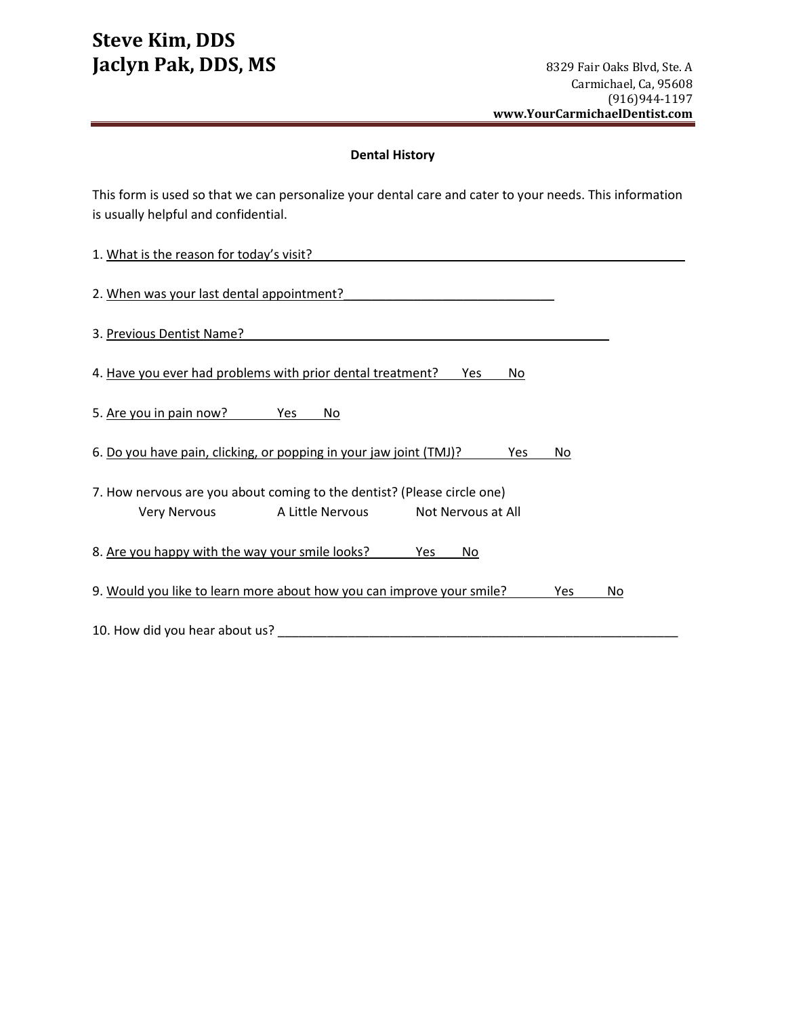# **Dental History**

This form is used so that we can personalize your dental care and cater to your needs. This information is usually helpful and confidential.

| 1. What is the reason for today's visit?                                           |
|------------------------------------------------------------------------------------|
| 2. When was your last dental appointment?                                          |
| 3. Previous Dentist Name?                                                          |
| 4. Have you ever had problems with prior dental treatment?<br>Yes<br>No            |
| 5. Are you in pain now?<br>Yes<br>No                                               |
| 6. Do you have pain, clicking, or popping in your jaw joint (TMJ)?<br>Yes<br>No.   |
| 7. How nervous are you about coming to the dentist? (Please circle one)            |
| A Little Nervous<br>Not Nervous at All<br>Very Nervous                             |
| 8. Are you happy with the way your smile looks?<br>Yes<br>No                       |
| 9. Would you like to learn more about how you can improve your smile?<br>Yes<br>No |
| 10. How did you hear about us?                                                     |